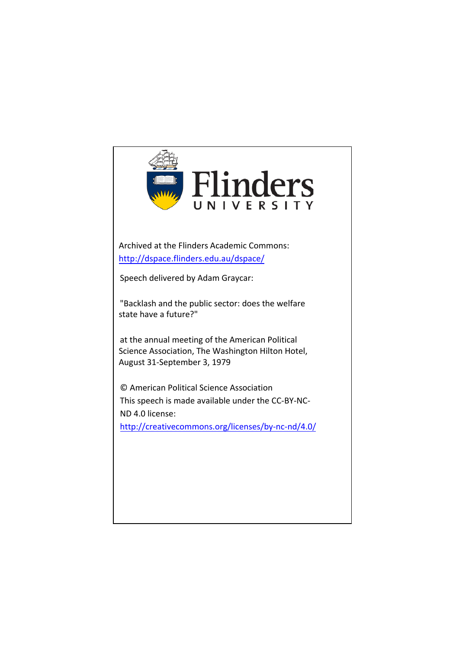

Archived at the Flinders Academic Commons: <http://dspace.flinders.edu.au/dspace/>

Speech delivered by Adam Graycar:

"Backlash and the public sector: does the welfare state have a future?"

at the annual meeting of the American Political Science Association, The Washington Hilton Hotel, August 31-September 3, 1979

© [American Political Science Association](http://creativecommons.org/licenses/by-nc-nd/4.0/) This speech is made available under the CC-BY-NC-ND 4.0 license: <http://creativecommons.org/licenses/by-nc-nd/4.0/>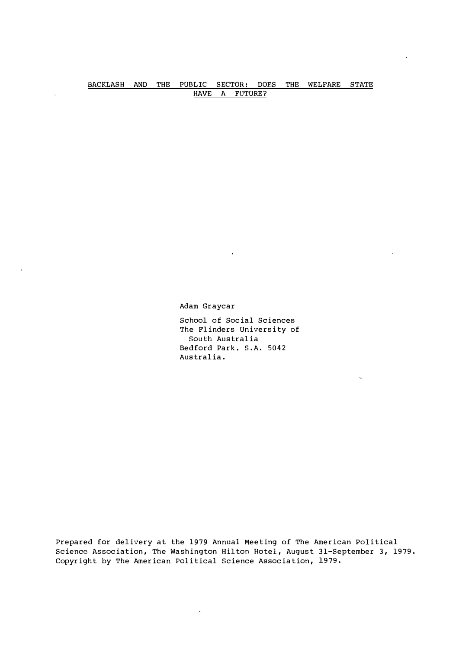# BACKLASH AND THE PUBLIC SECTOR: DOES THE WELFARE STATE HAVE A FUTURE?

Adam Graycar

School of Social Sciences The Flinders University of South Australia Bedford Park. S.A. 5042 Australia.

Prepared for delivery at the 1979 Annual Meeting of The American Political Science Association, The Washington Hilton Hotel, August 31-September 3, 1979. Copyright by The American Political Science Association, 1979.

 $\ddot{\phantom{a}}$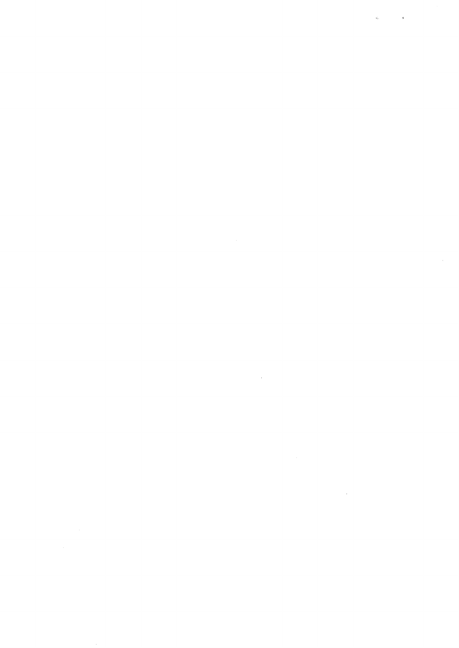$\mathcal{L}^{\text{max}}_{\text{max}}$  and  $\mathcal{L}^{\text{max}}_{\text{max}}$ 

 $\label{eq:2.1} \frac{1}{\sqrt{2}}\int_{0}^{\infty}\frac{1}{\sqrt{2\pi}}\left(\frac{1}{\sqrt{2\pi}}\right)^{2\alpha} \frac{1}{\sqrt{2\pi}}\int_{0}^{\infty}\frac{1}{\sqrt{2\pi}}\left(\frac{1}{\sqrt{2\pi}}\right)^{\alpha} \frac{1}{\sqrt{2\pi}}\frac{1}{\sqrt{2\pi}}\int_{0}^{\infty}\frac{1}{\sqrt{2\pi}}\frac{1}{\sqrt{2\pi}}\frac{1}{\sqrt{2\pi}}\frac{1}{\sqrt{2\pi}}\frac{1}{\sqrt{2\pi}}\frac{1}{\sqrt{2\pi}}$ 

 $\sim$   $\sim$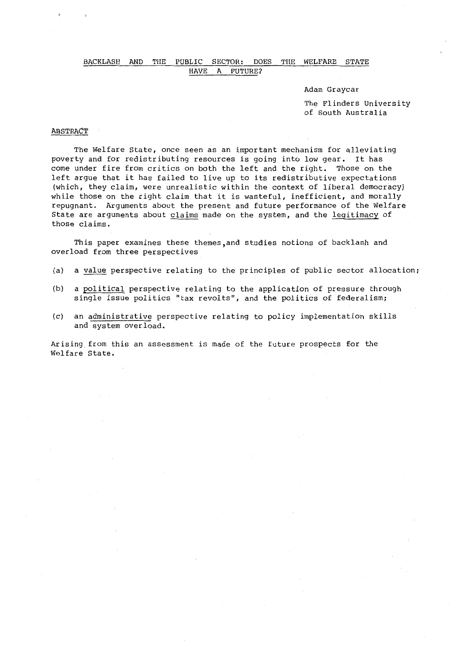#### BACKLASH AND THE PUBLIC SECTOR: DOES THE WELFARE STATE HAVE FUTURE?

Adam Graycar

The Flinders University of South Australia

# ABSTRACT

The Welfare State, once seen as an important mechanism for alleviating poverty and for redistributing resources is going into low gear. It has come under fire from critics on both the left and the right. Those on the left argue that it has failed to live up to its redistributive expectations (which, they claim, were unrealistic within the context of liberal democracy) while those on the right claim that it is wasteful, inefficient, and morally repugnant. Arguments about the present and future performance of the Welfare State are arguments about claims made on the system, and the legitimacy of those claims.

This paper examines these themes,and studies notions of backlash and overload from three perspectives

- (a) a value perspective relating to the principles of public sector allocation:
- (b) a political perspective relating to the application of pressure through single issue politics "tax revolts", and the politics of federalism:
- (c) an administrative perspective relating to policy implementation skills and system overload,

Arising from this an assessment is made of the future prospects for the Welfare State.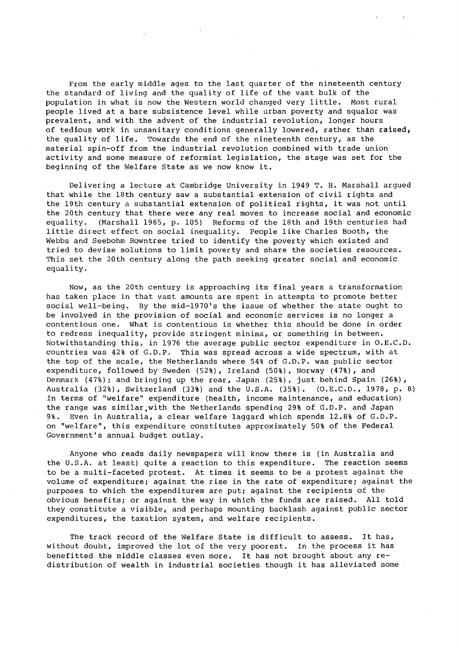From the early middle ages to the last quarter of the nineteenth century the standard of living and the quality of life of the vast bulk of the population in what is now the western world changed very little. Most rural people lived at a bare subsistence level while urban poverty and squalor was prevalent, and with the advent of the industrial revolution, longer hours of tedious work in unsanitary conditions generally lowered, rather than raised, the quality of life. Towards the end of the nineteenth century, as the material spin-off from the industrial revolution combined with trade union activity and some measure of reformist legislation, the stage was set for the beginning of the Welfare State as we now know it.

Delivering a lecture at Cambridge University in 1949 T. H. Marshall argued that while the 18th century saw a substantial extension of civil rights and the 19th century a substantial extension of political rights, it was not until the 20th century that there were any real moves to increase social and economic equality. (Marshall 1965, p. 105) Reforms of the 18th and 19th centuries had little direct effect on social inequality. People like Charles Booth, the Webbs and Seebohm Rowntree tried to identify the poverty which existed and tried to devise solutions to limit poverty and share the societies resources. This set the 20th century along the path seeking greater social and economic equality.

Now, as the 20th century is approaching its final years a transformation has taken place in that vast amounts are spent in attempts to promote better social well-being. By the mid-1970's the issue of whether the state ought to be involved in the provision of social and economic services is no longer a contentious one. What is contentious is whether this should be done in order to redress inequality, provide stringent minima, or something in between. Notwithstanding this, in 1976 the average public sector expenditure in O.E.C.D. countries was 42% of G.D.P. This was spread across a wide spectrum, with at the top of the scale, the Netherlands where 54% of G.D.P. was public sector expenditure, followed by Sweden (52%), Ireland (50%), Norway (47%), and Denmark (47%); and bringing up the rear, Japan (25%), just behind Spain (26%), Australia (32%), Switzerland (33%) and the U.S.A. (35%). (O.E.C.D., 1978, p. 8) In terms of ''welfare" expenditure (health, income maintenance, and education) the range was similar,with the Netherlands spending 29% of G.D.P. and Japan 9%. Even in Australia, a clear welfare laggard which spends 12.8% of G.D.P. on "welfare", this expenditure constitutes approximately 50% of the Federal Government's annual budget outlay,

Anyone who reads daily newspapers will know there is (in Australia and the U.S.A. at least) quite a reaction to this expenditure, The reaction seems to be a multi-faceted protest. At times it seems to be a protest against the volume of expenditure; against the rise in the rate of expenditure; against the purposes to which the expenditures are put; against the recipients of the obvious benefits; or against the way in which the funds are raised. All told they constitute a visible, and perhaps mounting backlash against public sector expenditures, the taxation system, and welfare recipients.

The track record of the Welfare State is difficult to assess. It has, without doubt, improved the lot of the very poorest. In the process it has benefitted the middle classes even more. It has not brought about any redistribution of wealth in industrial societies though it has alleviated some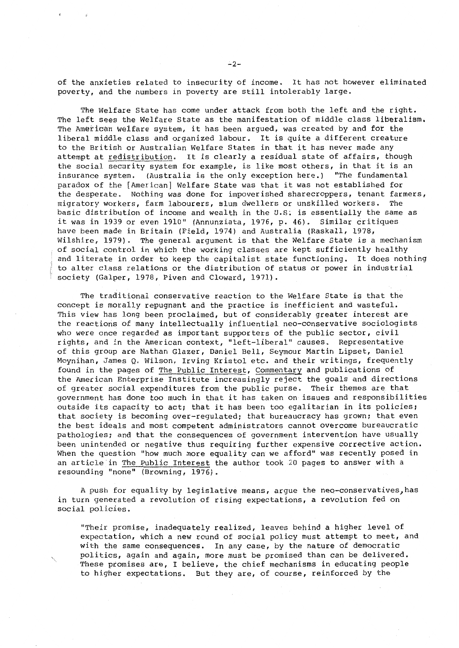of the anxieties related to insecurity of income. It has not however eliminated poverty, and the numbers in poverty are still intolerably large.

The Welfare State has come under attack from both the left and the right. The left sees the Welfare State as the manifestation of middle class liberalism. The American welfare system, it has been argued, was created by and for the liberal middle class and organized labour. It is quite a different creature to the British or Australian Welfare States in that it has never made any attempt at redistribution. It is clearly a residual state of affairs, though the social security system for example, is like most others, in that it is an insurance system. (Australia is the only exception here.) "The fundamental insurance system. (Australia is the only exception here.) paradox of the [American] Welfare State was that it was not established for the desperate. Nothing was done for impoverished sharecroppers, tenant farmers, migratory workers, farm labourers, slum dwellers or unskilled workers. The basic distribution of income and wealth in the U.S. is essentially the same as it was in 1939 or even 1910" (Annunziata, 1976, p. 46). Similar critiques have been made in Britain (Field, 1974) and Australia (Raskall, 1978, Wilshire, 1979). The general argument is that the Welfare State is a mechanism of social control in which the working classes are kept sufficiently healthy and literate in order to keep the capitalist state functioning. It does nothing to alter class relations or the distribution of status or power in industrial society (Galper, 1978, Piven and Cloward, 1971).

The traditional conservative reaction to the Welfare State is that the concept is morally repugnant and the practice is inefficient and wasteful. This view has long been proclaimed, but of considerably greater interest are the reactions of many intellectually influential nee-conservative sociologists who were once regarded as important supporters of the public sector, civil rights, and in the American context, "left-liberal" causes, Representative of this group are Nathan Glazer, Daniel Bell, Seymour Martin Lipset, Daniel Moynihan, James Q. Wilson, Irving Kristal etc. and their writings, frequently found in the pages of The Public Interest, Commentary and publications of the American Enterprise Institute increasingly reject the goals and directions of greater social expenditures from the public purse. Their themes are that government has done too much in that it has taken on issues and responsibilities outside its capacity to act; that it has been too egalitarian in its policies; that society is becoming over-regulated; that bureaucracy has grown; that even the best ideals and most competent administrators cannot overcome bureaucratic pathologies; and that the consequences of government intervention have usually been unintended or negative thus requiring further expensive corrective action. When the question "how much more equality can we afford" was recently posed in an article in The Public Interest the author took 20 pages to answer with a resounding "none" (Browning, 1976),

A push for equality by legislative means, argue the neo-conservatives,has in turn generated a revolution of rising expectations, a revolution fed on social policies.

"Their promise, inadequately realized, leaves behind a higher level of expectation, which a new round of social policy must attempt to meet, and with the same consequences. In any case, by the nature of democratic politics, again and again, more must be promised than can be delivered. These promises are, I believe, the chief mechanisms in educating people to higher expectations. But they are, of course, reinforced by the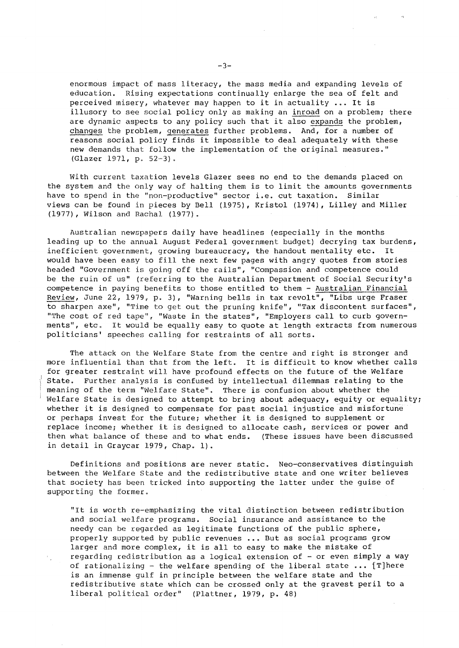enormous impact of mass literacy, the mass media and expanding levels of education. Rising expectations continually enlarge the sea of felt and perceived misery, whatever may happen to it in actuality ... It is illusory to see social policy only as making an inroad on a problem; there are dynamic aspects to any policy such that it also expands the problem, changes the problem, generates further problems. And, for a number of reasons social policy finds it impossible to deal adequately with these new demands that follow the implementation of the original measures." (Glazer 1971, p. 52-3).

With current taxation levels Glazer sees no end to the demands placed on the system and the only way of halting them is to limit the amounts governments have to spend in the "non-productive" sector i.e. cut taxation. Similar views can be found in pieces by Bell (1975), Kristol (1974), Lilley and Miller (1977), Wilson and Rachal (1977).

Australian newspapers daily have headlines (especially in the months leading up to the annual August Federal government budget) decrying tax burdens, inefficient government, growing bureaucracy, the handout mentality etc. It would have been easy to fill the next few pages with angry quotes from stories headed "Government is going off the rails", "Compassion and competence could be the ruin of us" (referring to the Australian Department of Social Security's competence in paying benefits to those entitled to them - Australian Financial Review, June 22, 1979, p. 3), "Warning bells in tax revolt", "Libs urge Fraser to sharpen axe'', "Time to get out the pruning knife", "Tax discontent surfaces", "The cost of red tape", "Waste in the states", "Employers call to curb governments", etc. It would be equally easy to quote at length extracts from numerous politicians' speeches calling for restraints of all sorts.

The attack on the Welfare State from the centre and right is stronger and more influential than that from the left. It is difficult to know whether calls for greater restraint will have profound effects on the future of the Welfare State. Further analysis is confused by intellectual dilemmas relating to the meaning of the term "Welfare State''. There is confusion about whether the Welfare State is designed to attempt to bring about adequacy, equity or equality; whether it is designed to compensate for past social injustice and misfortune or perhaps invest for the future; whether it is designed to supplement or replace income; whether it is designed to allocate cash, services or power and then what balance of these and to what ends. (These issues have been discussed in detail in Graycar 1979, Chap. 1).

Definitions and positions are never static. Neo-conservatives distinguish between the Welfare State and the redistributive state and one writer believes that society has been tricked into supporting the latter under the guise of supporting the former.

"It is worth re-emphasizing the vital distinction between redistribution and social welfare programs. Social insurance and assistance to the needy can be regarded as legitimate functions of the public sphere, properly supported by public revenues ••• But as social programs grow larger and more complex, it is all to easy to make the mistake of regarding redistribution as a logical extension of - or even simply a way of rationalizing - the welfare spending of the liberal state  $\ldots$  [T]here is an immense gulf in principle between the welfare state and the redistributive state which can be crossed only at the gravest peril to a liberal political order" (Plattner, 1979, p. 48)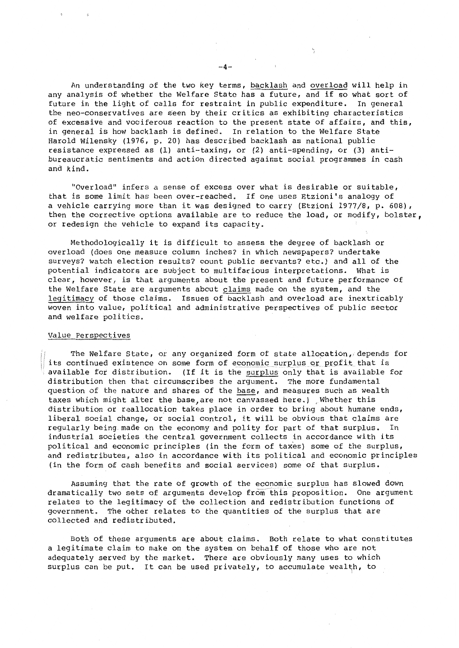An understanding of the two key terms, backlash and overload will help in any analysis of whether the Welfare State has a future, and if so what sort of future in the light of calls for restraint in public expenditure. In general the neo-conservatives are seen by their critics as exhibiting characteristics of excessive and vociferous reaction to the present state of affairs, and this, in general is how backlash is defined. In relation to the Welfare State Harold Wilensky (1976, p. 20) has described backlash as national public resistance expressed as (1) anti-taxing, or (2) anti-spending, or (3) antibureaucratic sentiments and action directed against social programmes in cash and kind.

"Overload" infers a sense of excess over what is desirable or suitable, that is some limit has been over-reached. If one uses Etzioni's analogy of a vehicle carrying more than it was designed to carry (Etzioni 1977/8, p. 608), then the corrective options available are to reduce the load, or modify, bolster, or redesign the vehicle to expand its capacity.

Methodologically it is difficult to assess the degree of backlash or overload (does one measure column inches? in which newspapers? undertake surveys? watch election results? count public servants? etc.) and all of the potential indicators are subject to multifarious interpretations. What is clear, however, is that arguments about the present and future performance of the Welfare State are arguments about claims made on the system, and the legitimacy of those claims. Issues of backlash and overload are inextricably woven into value, political and administrative perspectives of public sector and welfare politics.

## Value Perspectives

The Welfare State, or any organized form of state allocation,, depends for its continued existence on some form of economic surplus or profit that is available for distribution. (If it is the surplus only that is available for distribution then that circumscribes the argument. The more fundamental question of the nature and shares of the base, and measures such as wealth taxes which might alter the base, are not canvassed here.) Whether this distribution or reallocation takes place in order to bring about humane ends, liberal social change, or social control, it will be obvious that claims are regularly being made on the economy and polity for part of that surplus. In industrial societies the central government collects in accordance with its political and economic principles (in the form of taxes) some of the surplus, and redistributes, also in accordance with its political and economic principles (in the form of cash benefits and social services) some of that surplus.

Assuming that the rate of growth of the economic surplus has slowed down dramatically two sets of arguments develop from this proposition. One argument relates to the legitimacy of the collection and redistribution functions of government. The other relates to the quantities of the surplus that are collected and redistributed.

Both of these arguments are about claims. Both relate to what constitutes a legitimate claim to make on the system on behalf of those who are not adequately served by the market. There are obviously many uses to which surplus can be put. It can be used privately, to accumulate wealth, to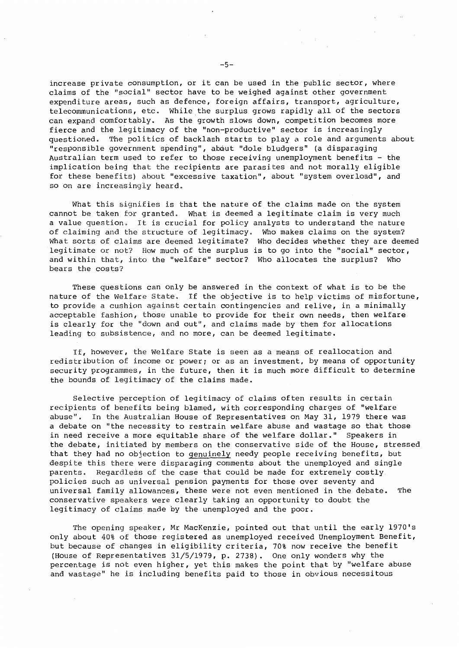increase private consumption, or it can be used in the public sector, where claims of the "social'' sector have to be weighed against other government expenditure areas, such as defence, foreign affairs, transport, agriculture, telecommunications, etc. While the surplus grows rapidly all of the sectors can expand comfortably. As the growth slows down, competition becomes more fierce and the legitimacy of the "non-productive" sector is increasingly questioned. The politics of backlash starts to play a role and arguments about "responsible government spending", aoout "dole bludgers" (a disparaging Australian term used to refer to those receiving unemployment benefits - the implication being that the recipients are parasites and not morally eligible for these benefits) about "excessive taxation", about "system overload", and so on are increasingly heard.

What this signifies is that the nature of the claims made on the system cannot be taken for granted. What is deemed a legitimate claim is very much a value question. It is crucial for policy analysts to understand the nature of claiming and the structure of legitimacy. Who makes claims on the system? What sorts of claims are deemed legitimate? Who decides whether they are deemed legitimate or not? How much of the surplus is to go into the "social" sector, and within that, into the "welfare" sector? Who allocates the surplus? Who bears the costs?

These questions can only be answered in the context of what is to be the nature of the Welfare State. If the objective is to help victims of misfortune, to provide a cushion against certain contingencies and relive, in a minimally acceptable fashion, those unable to provide for their own needs, then welfare is clearly for the "down and out", and claims made by them for allocations leading to subsistence, and no more, can be deemed legitimate.

If, however, the Welfare State is seen as a means of reallocation and redistribution of income or power; or as an investment, by means of opportunity security programmes, in the future, then it is much more difficult to determine the bounds of legitimacy of the claims made.

Selective perception of legitimacy of claims often results in certain recipients of benefits being blamed, with corresponding charges of "welfare abuse". In the Australian House of Representatives on May 31, 1979 there was a debate on "the necessity to restrain welfare abuse and wastage so that those in need receive a more equitable share of the welfare dollar." Speakers in the debate, initiated by members on the conservative side of the House, stressed that they had no objection to genuinely needy people receiving benefits, but despite this there were disparaging comments about the unemployed and single parents. Regardless of the case that could be made for extremely costly policies such as universal pension payments for those over seventy and universal family allowances, these were not even mentioned in the debate. The conservative speakers were clearly taking an opportunity to doubt the legitimacy of claims made by the unemployed and the poor.

The opening speaker, Mr MacKenzie, pointed out that until the early 1970's only about 40% of those registered as unemployed received Unemployment Benefit, but because of changes in eligibility criteria, 70% now receive the benefit (House of Representatives 31/5/1979, p. 2738). One only wonders why the percentage is not even higher, yet this makes the point that by "welfare abuse and wastage" he is including benefits paid to those in obvious necessitous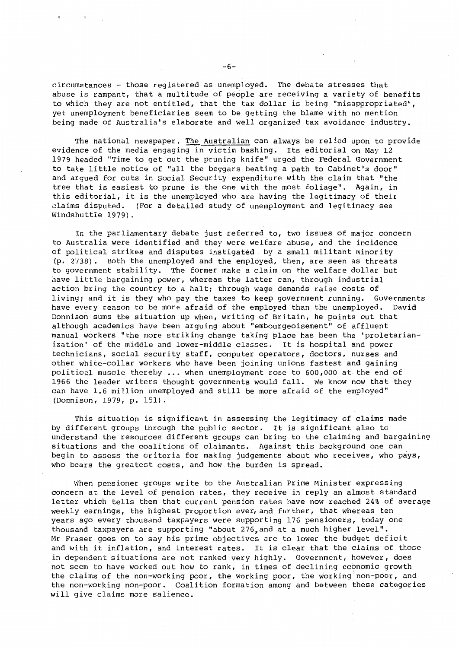circumstances - those registered as unemployed. The debate stresses that abuse is rampant, that a multitude of people are receiving a variety of benefits to which they are not entitled, that the tax dollar is being "misappropriated", yet unemployment beneficiaries seem to be getting the blame with no mention being made of Australia's elaborate and well organized tax avoidance industry.

The national newspaper, The Australian can always be relied upon to provide evidence of the media engaging in victim bashing. Its editorial on May 12 1979 headed "Time to get out the pruning knife" urged the Federal Government to take little notice of "all the beggars beating a path to Cabinet's door" and argued for cuts in Social Security expenditure with the claim that "the tree that is easiest *to* prune is the one with the most foliage", Again, in this editorial, it is the unemployed who are having the legitimacy of their claims disputed. (For a detailed study of unemployment and legitimacy see Windshuttle 1979).

In the parliamentary debate just referred to, two issues of major concern to Australia were identified and they were welfare abuse, and the incidence of political strikes and disputes instigated by a small militant minority (p. 2738). Both the unemployed and the employed, then, are seen as threats to government stability. The former make a claim on the welfare dollar but have little bargaining power, whereas the latter can, through industrial action bring the country to a halt; through wage demands raise costs of living; and it is they who pay the taxes to keep government running. Governments have every reason to be more afraid of the employed than the unemployed. David Donnison sums the situation up when, writing of Britain, he points out that although academics have been arguing about "embourgeoisement" of affluent manual workers ''the more striking change taking place has been the 'proletarianization' of the middle and lower-middle classes. It is hospital and power technicians, social security staff, computer operators, doctors, nurses and other white-collar workers who have been joining unions fastest and gaining political muscle thereby ..• when unemployment rose to 600,000 at the end of 1966 the leader writers thought governments would fall. We know now that they can have 1.6 million unemployed and still be more afraid of the employed" (Dennison, 1979, p. 151).

This situation is significant in assessing the legitimacy of claims made by different groups through the public sector. It is significant also to understand the resources different groups can bring to the claiming and bargaining situations and the coalitions of claimants. Against this background one can begin to assess the criteria for making judgements about who receives, who pays, who bears the greatest costs, and how the burden is spread.

When pensioner groups write to the Australian Prime Minister expressing concern at the level of pension rates, they receive in reply an almost standard letter which tells them that current pension rates have now reached 24% of average weekly earnings, the highest proportion ever, and further, that whereas ten years ago every thousand taxpayers were supporting 176 pensioners, today one thousand taxpayers are supporting "about 276, and at a much higher, level". Mr Fraser goes on to say his prime objectives are to lower the budget deficit and with it inflation, and interest rates. It is clear that the claims of those in dependent situations are not ranked very highly. Government, however, does not seem to have worked out how to rank, in times of declining economic growth the claims of the non-working poor, the working poor, the working'non-poor, and the non-working non-poor. Coalition formation among and between these categories will give claims more salience.

 $-6-$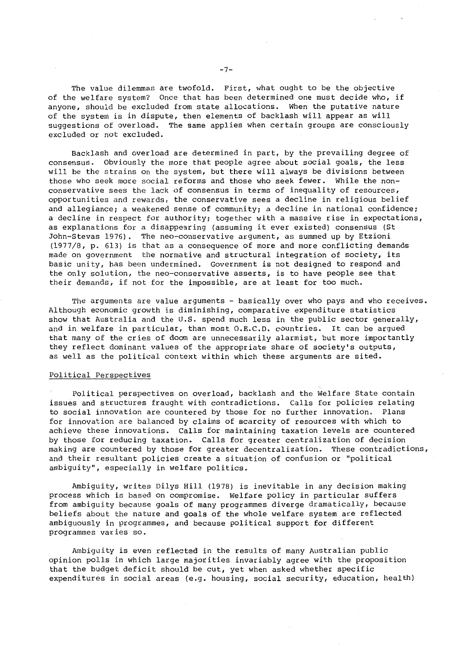The value dilemmas are twofold. First, what ought to be the objective of the welfare system? Once that has been determined one must decide who, if anyone, should be excluded from state allocations. When the putative nature of the system is in dispute, then elements of backlash will appear as will suggestions of overload. The same applies when certain groups are consciously excluded or not excluded.

Backlash and overload are determined in part, by the prevailing degree of consensus. Obviously the more that people agree about social goals, the less will be the strains on the system, but there will always be divisions between those who seek more social reforms and those who seek fewer. While the nonconservative sees the lack of consensus in terms of inequality of resources, opportunities and rewards, the conservative sees a decline in religious belief and allegiance; a weakened sense of community; a decline in national confidence; a decline in respect for authority; together with a massive rise in expectations, as explanations for a disappearing (assuming it ever existed) consensus (St John-Stevas 1976). The neo-conservative argument, as summed up by Etzioni (1977/8, p. 613) is that as a consequence of more and more conflicting demands made on government the normative and structural integration of society, its basic unity, has been undermined. Government is not designed to respond and the only solution, the neo-conservative asserts, is to have people see that their demands, if not for the impossible, are at least for too much.

The arguments are value arguments - basically over who pays and who receives. Although economic growth is diminishing, comparative expenditure statistics show that Australia and the U.S. spend much less in the public sector generally, and in welfare in particular, than most O.E.C.D. countries. It can be argued that many of the cries of doom are unnecessarily alarmist, but more importantly they reflect dominant values of the appropriate share of society's outputs, as well as the political context within which these arguments are sited.

## Political Perspectives

Political perspectives on overload, backlash and the Welfare State contain issues and structures fraught with contradictions. Calls for policies relating to social innovation are countered by those for no further innovation. Plans for innovation are balanced by claims of scarcity of resources with which to achieve these innovations. Calls for maintaining taxation levels are countered by those for reducing taxation. Calls for greater centralization of decision making are countered by those for greater decentralization. These contradictions, and their resultant policies create a situation of confusion or "political ambiguity", especially in welfare politics.

Ambiguity, writes Dilys Hill (1978) is inevitable in any decision making process which is based on compromise. Welfare policy in particular suffers from ambiguity because goals of many programmes diverge dramatically, because beliefs about the nature and goals of the whole welfare system are reflected ambiguously in programmes, and because political support for different programmes varies so.

Ambiguity is even reflected in the results of many Australian public opinion polls in which large majorities invariably agree with the proposition that the budget deficit should be cut, yet when asked whether specific expenditures in social areas (e.g. housing, social security, education, health)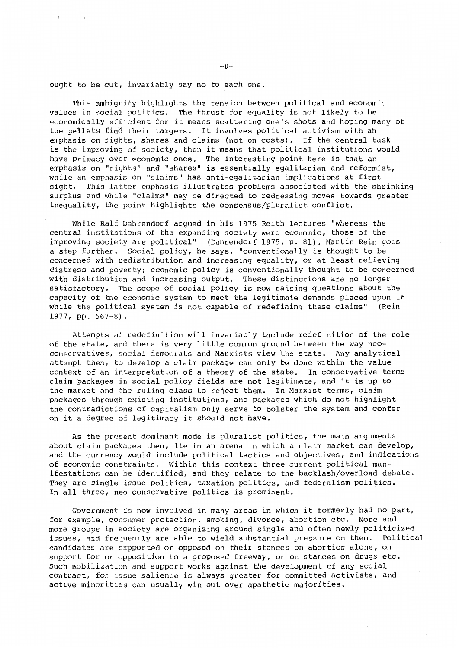ought to be cut, invariably say no to each one.

This ambiguity highlights the tension between political and economic values in social politics, The thrust for equality is not likely to be economically efficient for it means scattering one's shots and hoping many of the pellets find their targets. It involves political activism with ah emphasis on rights, shares and claims (not on costs). If the central task is the improving of society, then it means that political institutions would have primacy over economic ones, The interesting point here is that an emphasis on "rights" and "shares" is essentially egalitarian and reformist, while an emphasis on ''claims" has anti-egalitarian implications at first sight. This latter emphasis illustrates problems associated with the shrinking surplus and while "claims" may be directed to redressing moves towards greater inequality, the point highlights the consensus/pluralist conflict.

While Ralf Dahrendorf argued in his 1975 Reith lectures "whereas the central institutions of the expanding society were economic, those of the improving society are political" (Dahrendorf 1975, p. 81), Martin Rein goes a step further. Social policy, he says, "conventionally is thought to be concerned with redistribution and increasing equality, or at least relieving distress and poverty; economic policy is conventionally thought to be concerned with distribution and increasing output. These distinctions are no longer satisfactory. The scope of social policy is now raising questions about the capacity of the economic system to meet the legitimate demands placed upon it<br>while the political system is not capable of redefining these claims" (Rein while the political system is not capable of redefining these claims" 1977, pp. 567-8).

Attempts at redefinition will invariably include redefinition of the role of the state, and there is very little common ground between the way neoconservatives, social democrats and Marxists view the state. Any analytical attempt then, to develop a claim package can only be done within the value . context of an interpretation of a theory of the state. In conservative terms claim packages in social policy fields are not legitimate, and it is up to the market and the ruling class to reject them. In Marxist terms, claim packages through existing institutions, and packages which do not highlight the contradictions of capitalism only serve to bolster the system and confer on it a degree of legitimacy it should not have.

As the present dominant mode is pluralist politics, the main arguments about claim packages then, lie in an arena in which a claim market can develop, and the currency would include political tactics and objectives, and indications of economic constraints. Within this context three current political manifestations can be identified, and they relate to the backlash/overload debate. They are single-issue politics, taxation politics, and federalism politics. In all three, neo-conservative politics is prominent.

Government is now involved in many areas in which it formerly had no part, for example, consumer protection, smoking, divorce, abortion etc. More and more groups in society are organizing around single and often newly politicized issues, and frequently are able to wield substantial pressure on them. Political candidates are supported or opposed on their stances on abortion alone, on support for or opposition to a proposed freeway, or on stances on drugs etc. Such mobilization and support works against the development of any social contract, for issue salience is always greater for committed activists, and active minorities can usually win out over apathetic majorities.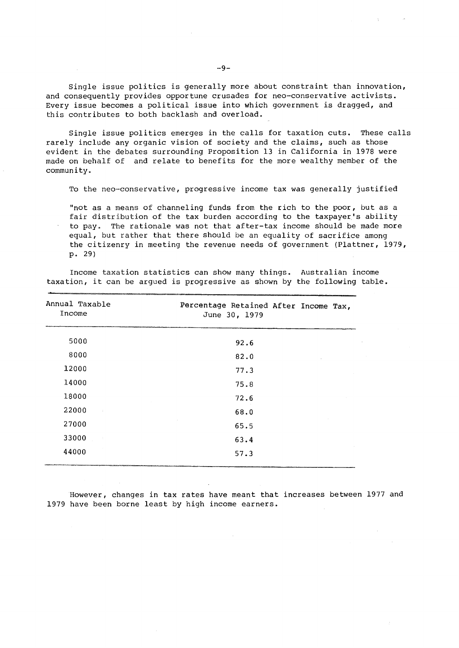Single issue politics is generally more about constraint than innovation, and consequently provides opportune crusades for neo-conservative activists. Every issue becomes a political issue into which government is dragged, and this contributes to both backlash and overload.

Single issue politics emerges in the calls for taxation cuts. These calls rarely include any organic vision of society and the claims, such as those evident in the debates surrounding Proposition 13 in California in 1978 were made on behalf of and relate to benefits for the more wealthy member of the community.

To the neo-conservative, progressive income tax was generally justified

''not as a means of channeling funds from the rich to the poor, but as a fair distribution of the tax burden according to the taxpayer's ability to pay. The rationale was not that after-tax income should be made more equal, but rather that there should be an equality of sacrifice among the citizenry in meeting the revenue needs of government (Plattner, 1979, p. 29)

| Annual Taxable<br>Income | Percentage Retained After Income Tax,<br>June 30, 1979 |  |  |  |  |  |
|--------------------------|--------------------------------------------------------|--|--|--|--|--|
| 5000                     | 92.6                                                   |  |  |  |  |  |
| 8000                     | 82.0                                                   |  |  |  |  |  |
| 12000                    | 77.3                                                   |  |  |  |  |  |
| 14000                    | 75.8                                                   |  |  |  |  |  |
| 18000                    | 72.6                                                   |  |  |  |  |  |
| 22000                    | 68.0                                                   |  |  |  |  |  |
| 27000                    | 65.5                                                   |  |  |  |  |  |
| 33000                    | 63.4                                                   |  |  |  |  |  |
| 44000                    | 57.3                                                   |  |  |  |  |  |

Income taxation statistics can show many things. Australian income taxation, it can be argued is progressive as shown by the following table.

However, changes in tax rates have meant that increases between 1977 and 1979 have been borne least by high income earners.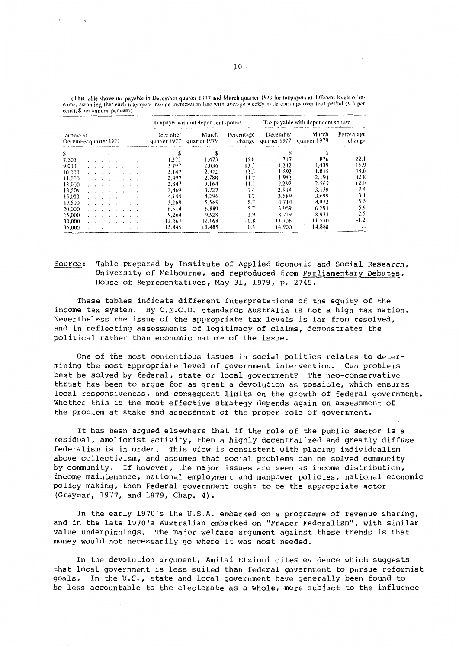|                                    |  |                         |  |  |  |  |   |   |                          | Taxpayer without dependent spouse |                      | Tax payable with dependent spouse |                       |                      |  |
|------------------------------------|--|-------------------------|--|--|--|--|---|---|--------------------------|-----------------------------------|----------------------|-----------------------------------|-----------------------|----------------------|--|
| Income at<br>December quarter 1977 |  |                         |  |  |  |  |   |   | December<br>quarter 1977 | March<br>quarter 1979             | Percentage<br>change | December<br>quarter 1977          | March<br>quarter 1979 | Percentage<br>change |  |
| S.                                 |  |                         |  |  |  |  |   |   | \$.                      |                                   |                      |                                   | \$                    |                      |  |
| 7,500                              |  |                         |  |  |  |  |   |   | 1.272                    | 1.473                             | 15.8                 | 717                               | 876                   | 22.1                 |  |
| 9,000                              |  | $\cdot$ $\cdot$ $\cdot$ |  |  |  |  |   |   | 1.797                    | 2.036                             | 13.3                 | 1.242                             | 1.439                 | 15.9                 |  |
| 10,000                             |  | .                       |  |  |  |  | . |   | 2.147                    | 2.412                             | 12.3                 | 1.592                             | 1.815                 | 14.0                 |  |
| 11,000                             |  | $\cdot$ $\cdot$ $\cdot$ |  |  |  |  |   | . | 2.497                    | 2.788                             | 11.7                 | 1.942                             | 2.191                 | 12.8                 |  |
| 12,000                             |  | $\cdot$ $\cdot$ $\cdot$ |  |  |  |  |   | . | 2.847                    | 3.164                             | I I. 1               | 2.292                             | 2.567                 | 12.0                 |  |
| 13,500                             |  |                         |  |  |  |  |   | . | 3.469                    | 3.727                             | 7.4                  | 2.914                             | 3.130                 | 7.4                  |  |
| 15,000                             |  |                         |  |  |  |  |   | . | 4.144                    | 4.296                             | 3.7                  | 3.589                             | 3.699                 | 3.1                  |  |
| 17,500                             |  |                         |  |  |  |  |   | . | 5.269                    | 5.569                             | 5.7                  | 4.714                             | 4.972                 | 5.5                  |  |
| 20,000                             |  | $\cdots$                |  |  |  |  |   | . | 6.514                    | 6.889                             | 5.7                  | 5.959                             | 6.291                 | 5.6                  |  |
| 25,000                             |  | $\cdot$ $\cdot$ $\cdot$ |  |  |  |  |   |   | 9.264                    | 9.528                             | 2.9                  | 8.709                             | 8.931                 | 2.5                  |  |
| 30,000                             |  |                         |  |  |  |  |   |   | 12.261                   | 12.168                            | 0.8                  | 11.706                            | 11.570                | $-1.2$               |  |
| 35,000                             |  |                         |  |  |  |  |   |   | 15.445                   | 15,485                            | 0.3                  | 14,900                            | 14,888                | $\cdot$ $\cdot$      |  |

( 1 his table shows tax payable in December quarter 1977 and March quarter 1979 for taxpayers at different levels of income, assuming that each taxpayers income increases in line with average weekly male carnings over that period (9.5 per  $cent$ );  $$ per annum, per cent)$ 

# Source: Table prepared by Institute of Applied Economic and Social Research, University of Melbourne, and reproduced from Parliamentary Debates, House of Representatives, May 31, 1979, p. 2745.

These tables indicate different interpretations of the equity of the income tax system. By O,E.C,D. standards Australia is not a high tax nation. Nevertheless the issue of the appropriate tax levels is far from resolved, and in reflecting assessments of legitimacy of claims, demonstrates the political rather than economic nature of the issue.

One of the most contentious issues in social politics relates to determining the most appropriate level of government intervention. Can problems best be solved by federal, state or local government? The neo-conservative thrust has been to argue for as great a devolution as possible, which ensures local responsiveness, and consequent limits on the growth of federal government. Whether this is the most effective strategy depends again on assessment of the problem at stake and assessment of the proper role of government.

It has been argued elsewhere that if the role of the public sector is a residual, ameliorist activity, then a highly decentralized and greatly diffuse federalism is in order. This view is consistent with placing individualism above collectivism, and assumes that social problems can be solved community by community. If however, the major issues are seen as income distribution, income maintenance, national employment and manpower policies, national economic policy making, then Federal government ought to be the appropriate actor (Graycar, 1977, and 1979, Chap. 4).

In the early 1970's the U.S.A. embarked on a programme of revenue sharing, and in the late 1970's Australian embarked on "Fraser Federalism", with similar value underpinnings. The major welfare argument against these trends is that money would not necessarily go where it was most needed.

In the devolution argument, Amitai Etzioni cites evidence which suggests that local government is less suited than federal government to pursue reformist goals. In the U.S., state and local government have generally been found to be less accountable to the electorate as a whole, more subject to the influence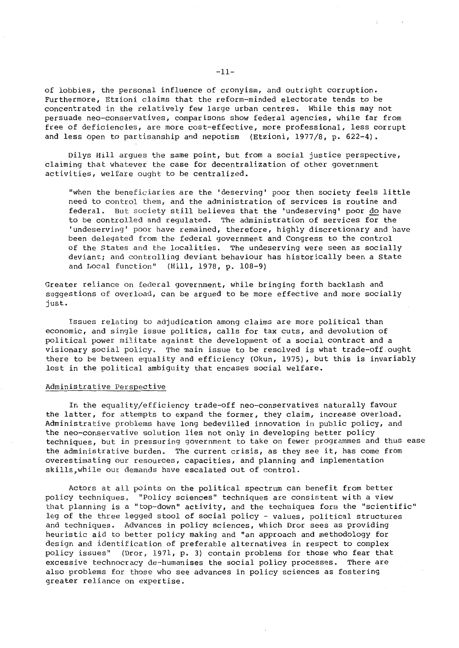of lobbies, the personal influence of cronyism, and outright corruption. Furthermore, Etzioni claims that the reform-minded electorate tends to be concentrated in the relatively few large urban centres. While this may not persuade neo-conservatives, comparisons show federal agencies, while far from free of deficiencies, are more cost-effective, more professional, less corrupt and less open to partisanship and nepotism (Etzioni, 1977/8, p. 622-4).

Dilys Hill argues the same point, but from a social justice perspective, claiming that whatever the case for decentralization of other government activities, welfare ought to be centralized.

"when the beneficiaries are the 'deserving' poor then society feels little need to control them, and the administration of services is routine and federal. But society still believes that the 'undeserving' poor do have to be controlled and regulated. The administration of services for the 'undeserving' poor have remained, therefore, highly discretionary and have been delegated from the federal government and Congress to the control of the States and the localities. The undeserving were seen as socially deviant; and controlling deviant behaviour has historically been a State and Local function" (Hill, 1978, p. 108-9)

Greater reliance on federal government, while bringing forth backlash and suggestions of overload, can be argued to be more effective and more socially just.

Issues relating to adjudication among claims are more political than economic, and single issue politics, calls for tax cuts, and devolution of political power militate against the development of a social contract and a visionary social policy. The main issue to be resolved is what trade-off.ought there to be between equality and efficiency (Okun, 1975), but this is invariably lost in the political ambiguity that encases social welfare.

### Administrative Perspective

In the equality/efficiency trade-off neo-conservatives naturally favour the latter, for attempts to expand the former, they claim, increase overload. Administrative problems have long bedevilled innovation in public policy, and the neo-conservative solution lies not only in developing better policy techniques, but in pressuring government to take on fewer programmes and thus ease the administrative burden. The current crisis, as they see it, has come from overestimating our resources, capacities, and planning and implementation skills,while our demands have escalated out of control.

Actors at all points on the political spectrum can benefit from better policy techniques. "Policy sciences" techniques are consistent with a view that planning is a "top-down" activity, and the techniques form the "scientific" leg of the three legged stool of social policy - values, political structures and techniques. Advances in policy sciences, which Dror sees as providing heuristic aid to better policy making and "an approach and methodology for design and identification of preferable alternatives in respect to complex policy issues" (Dror, 1971, p. 3) contain problems for those who fear that excessive technocracy de-humanises the social policy processes. There are also problems for those who see advances in policy sciences as fostering greater reliance on expertise.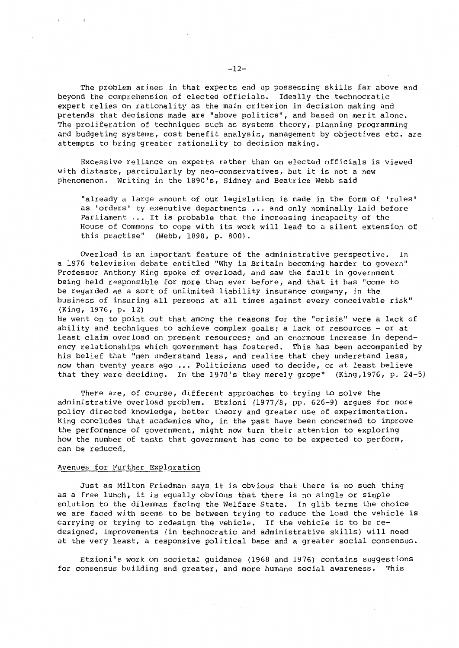The problem arises in that experts end up possessing skills far above and beyond the comprehension of elected officials. Ideally the technocratic expert relies on rationality as the main criterion in decision making and pretends that decisions made are "above politics'', and based on merit alone. The proliferation of techniques such as systems theory, planning programming and budgeting systems, cost benefit analysis, management by objectives etc. are attempts to bring greater rationality to decision making.

Excessive reliance on experts rather than on elected officials is viewed with distaste, particularly by neo-conservatives, but it is not a new phenomenon. Writing in the 1890's, Sidney and Beatrice Webb said

"already a large amount of our legislation is made in the form of 'rules' as 'orders' by executive departments ... and only nominally laid before Parliament ... It is probable that the increasing incapacity of the House of Commons to cope with its work will lead to a silent extension of this practise" (Webb, 1898, p. 800).

Overload is an important feature of the administrative perspective. In a 1976 television debate entitled "Why is Britain becoming harder to govern" Professor Anthony King spoke of overload, and saw the fault in government being held responsible for more than ever before, and that it has "come to be regarded as a sort of unlimited liability insurance company, in the business of insuring all persons at all times against every conceivable risk" (King, 1976, p. 12)

He went on to point out that among the reasons for the "crisis" were a lack of ability and techniques to achieve complex goals; a lack of resources - or at least claim overload on present resources; and an enormous increase in dependency relationships which government has fostered. This has been accompanied by his belief that "men understand less, and realise that they understand less, now than twenty years ago ... Politicians used to decide, or at least believe that they were deciding. In the 1970's they merely grope" (King,1976, p. 24-5)

There are, of course, different approaches to trying to solve the administrative overload problem. Etzioni (1977/8, pp. 626-9) argues for more policy directed knowledge, better theory and greater use of experimentation. King concludes that academics who, in the past have been concerned to improve the performance of government, might now turn their attention to exploring how the number of tasks that government has come to be expected to perform, can be reduced.

## Avenues for Further Exploration

Just as Milton Friedman says it is obvious that there is no such thing as a free lunch, it is equally obvious that there is no single or simple solution *to* the dilemmas facing the Welfare State. In glib terms the choice we are faced with seems to be between trying to reduce the load the vehicle is carrying or trying to redesign the vehicle. If the vehicle is to be redesigned, improvements (in technocratic and administrative skills) will need at the very least, a responsive political base and a greater social consensus.

Etzioni's work on societal guidahce (1968 and 1976) contains suggestions for consensus building and greater, and more humane social awareness. This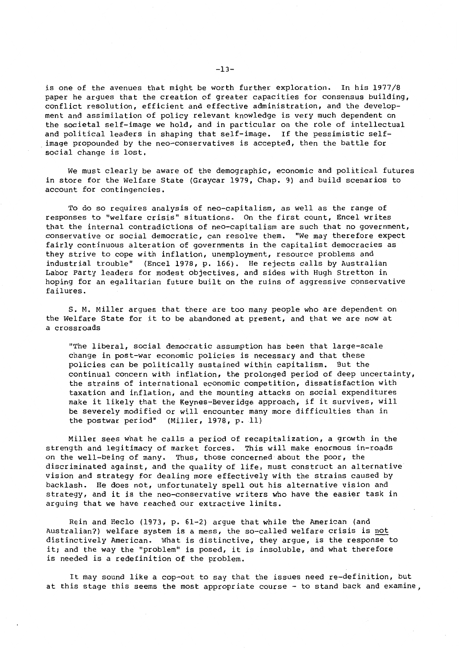is one of the avenues that might be worth further exploration. In his 1977/8 paper he argues that the creation of greater capacities for consensus building, conflict resolution, efficient and effective administration, and the development and assimilation of policy relevant knowledge is very much dependent on the societal self-image we hold, and in particular on the role of intellectual and political leaders in shaping that self-image. If the pessimistic selfimage propounded by the nee-conservatives is accepted, then the battle for social change is lost.

We must clearly be aware of the demographic, economic and political futures in store for the Welfare State (Graycar 1979, Chap. 9) and build scenarios *to*  account for contingencies.

To do so requires analysis of neo-capitalism, as well as the range of responses to "welfare crisis" situations. On the first count, Encel writes that the internal contradictions of nee-capitalism are such that no government, conservative or social democratic, can resolve them. "We may therefore expect fairly continuous alteration of governments in the capitalist democracies as they strive to cope with inflation, unemployment, resource problems and industrial trouble" (Encel 1978, p. 166). He rejects calls by Australian Labor Party leaders for modest objectives, and sides with Hugh Stretton in hoping for an egalitarian future built on the ruins of aggressive conservative failures.

s. M. Miller argues that there are too many people who are dependent on the Welfare State for it to be abandoned at present, and that we are now at a crossroads

"The liberal, social democratic assumption has been that large-scale change in post-war economic policies is necessary and that these policies can be politically sustained within capitalism. But the continual concern with inflation, the prolonged period of deep uncertainty, the strains of international economic competition, dissatisfaction with taxation and inflation, and the mounting attacks on social expenditures make it likely that the Keynes-Beveridge approach, if it survives, will be severely modified or will encounter many more difficulties than in the postwar period" (Miller, 1978, p. 11)

Miller sees what he calls a period of recapitalization, a growth in the strength and legitimacy of market forces. This will make enormous in-roads on the well-being of many. Thus, those concerned about the poor, the discriminated against, and the quality of life, must construct an alternative vision and strategy for dealing more effectively with the strains caused by backlash. He does not, unfortunately spell out his alternative vision and strategy, and it is the neo-conservative writers who have the easier task in arguing that we have reached our extractive limits.

Rein and Heclo (1973, p. 61-2) argue that while the American (and Australian?) welfare system is a mess, the so-called welfare crisis is not distinctively American. What is distinctive, they argue, is the response to it; and the way the "problem" is posed, it is insoluble, and what therefore is needed is a redefinition of the problem.

It may sound like a cop-out to say that the issues need re-definition, but at this stage this seems the most appropriate course - to stand back and examine,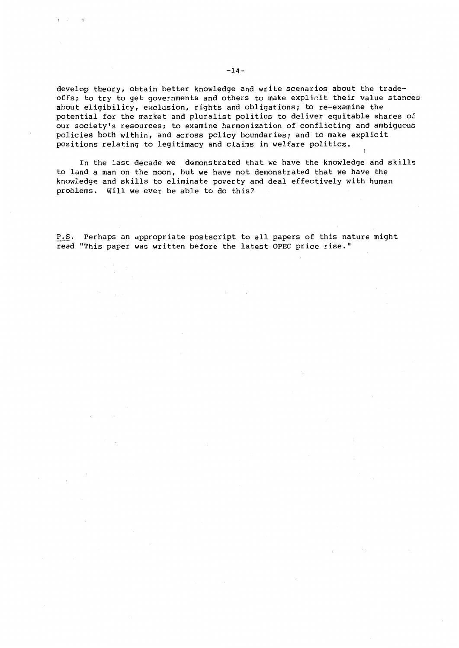develop theory, obtain better knowledge and write scenarios about the tradeoffs; to try to get governments and others to make explicit their value stances about eligibility, exclusion, rights and obligations; to re-examine the potential for the market and pluralist politics to deliver equitable shares of our society's resources; to examine harmonization of conflicting and ambiguous policies both within, and across policy boundaries; and to make explicit positions relating to legitimacy and claims in welfare politics.

In the last decade we demonstrated that we have the knowledge and skills to land a man on the moon, but we have not demonstrated that we have the knowledge and skills to eliminate poverty and deal effectively with human problems. Will we ever be able to do this?

P.S. Perhaps an appropriate postscript to all papers of this nature might read "This paper was written before the latest OPEC price rise."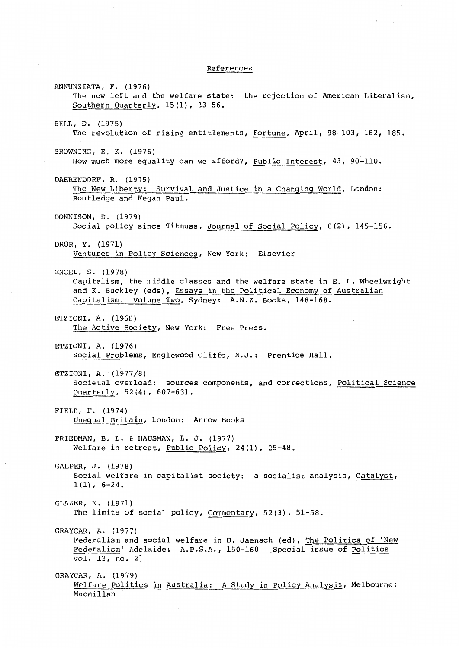### References

ANNUNZIATA, F. (1976) The new left and the welfare state: the rejection of American Liberalism, Southern Quarterly, 15(1), 33-56. BELL, D. (1975) The revolution of rising entitlements, Fortune, April, 98-103, 182, 185. BROWNING, E. K. (1976) How much more equality can we afford?, Public Interest, 43, 90-110. DAHRENDORF, R. (1975) The New Liberty: Survival and Justice in a Changing World, London: Routledge and Kegan Paul. DONNISON, D. (1979) Social policy since Titmuss, Journal of Social Policy, 8(2), 145-156. DROR, Y. (1971) Ventures in Policy Sciences, New York: Elsevier ENCEL, S, (1978) Capitalism, the middle classes and the welfare state in E. L. Wheelwright and K. Buckley (eds), Essays in the Political Economy of Australian Capitalism. Volume Two, Sydney: A.N.Z. Books, 148-168. ETZIONI, A. (1968) The Active Society, New York: Free Press. ETZIONI, A. (1976) Social Problems, Englewood Cliffs, N.J.: Prentice Hall. ETZIONI, A. (1977/8) Societal overload: sources components, and corrections, Political Science Quarterly, 52(4), 607-631. FIELD, F. (1974) Unequal Britain, London: Arrow Books FRIEDMAN, B, L. & HAUSMAN, L. J. (1977) Welfare in retreat, Public Policy, 24(1), 25-48. GALPER, J, (1978) Social welfare in capitalist society: a socialist analysis, Catalyst,  $1(1)$ ,  $6-24$ . GLAZER, N. (1971) The limits of social policy, Commentary, 52(3), 51-58. GRAYCAR, A. (1977) Federalism and social welfare in D. Jaensch (ed), The Politics of 'New Federalism' Adelaide: A.P,S.A., 150-160 [Special issue of Politics vol. 12, no. 2] GRAYCAR, A, (1979) Welfare Politics in Australia: A Study in Policy Analysis, Melbourne: Macmillan ·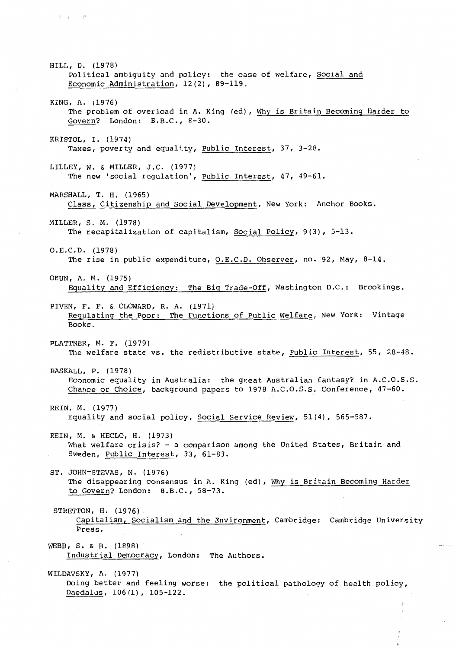HILL, D. (1978) Political ambiguity and policy: the case of welfare, Social and Economic Administration, 12(2), 89-119. KING, A. (1976) The problem of overload in A. King (ed), Why is Britain Becoming Harder to Govern? London: B.B.C., 8-30. KRISTOL, I. (1974) Taxes, poverty and equality, Public Interest, 37, 3-28. LILLEY, W. & MILLER, J.C. (1977) The new 'social regulation', Public Interest, 47, 49-61. MARSHALL, T. H. (1965) Class, Citizenship and Social Development, New York: Anchor Books. MILLER, S. M. (1978) The recapitalization of capitalism, Social Policy, 9(3), 5-13. O.E.C.D. (1978) The rise in public expenditure, O.E.C.D. Observer, no. 92, May, 8-14. OKUN, A. M. (1975) Equality and Efficiency: The Big Trade-Off, Washington D.C.: Brookings. PIVEN, F. F. & CLOWARD, R, A. (1971) Regulating the Poor: The Functions of Public Welfare, New York: Vintage Books. PLATTNER, M. F. (1979) The welfare state vs. the redistributive state, Public Interest, 55, 28-48. RASKALL, P. (1978) Economic equality in Australia: the great Australian fantasy? in A.C.O.S.S. Chance or Choice, background papers to 1978 A.C.O.S.S. Conference, 47-60. REIN, M. (1977) Equality and social policy, Social Service Review, 51(4), 565-587. REIN, M. & HECLO, H. (1973) What welfare crisis? - a comparison among the United States, Britain and Sweden, Public Interest, 33, 61-83. ST. JOHN-STEVAS, N. (1976) The disappearing consensus in A. King (ed), Why is Britain Becoming Harder to Govern? London: B.B.C., 58-73. STRETTON, H, (1976) Capitalism, Socialism and the Environment, Cambridge: Cambridge University Press. WEBB, S. & B. (1898) Industrial Democracy, London: The Authors. WILDAVSKY, A. (1977) Doing better and feeling worse: the political pathology of health policy, Daedalus, 106(1), 105-122.

 $\mathbf{r}=\mathbf{s}=\mathbf{r}^{\mathrm{b}}-\mathbf{r}^{\mathrm{b}}$